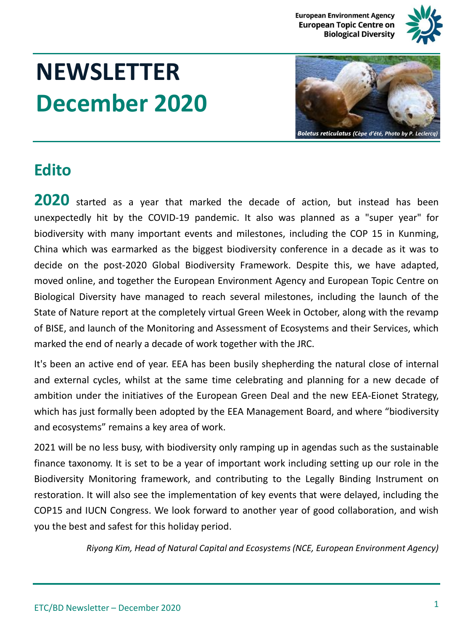

# **NEWSLETTER December 2020**



# **Edito**

**2020** started as <sup>a</sup> year that marked the decade of action, but instead has been unexpectedly hit by the COVID-19 pandemic. It also was planned as a "super year" for biodiversity with many important events and milestones, including the COP 15 in Kunming, China which was earmarked as the biggest biodiversity conference in a decade as it was to decide on the post-2020 Global Biodiversity Framework. Despite this, we have adapted, moved online, and together the European Environment Agency and European Topic Centre on Biological Diversity have managed to reach several milestones, including the launch of the State of Nature report at the completely virtual Green Week in October, along with the revamp of BISE, and launch of the Monitoring and Assessment of Ecosystems and their Services, which marked the end of nearly a decade of work together with the JRC.

It's been an active end of year. EEA has been busily shepherding the natural close of internal and external cycles, whilst at the same time celebrating and planning for a new decade of ambition under the initiatives of the European Green Deal and the new EEA-Eionet Strategy, which has just formally been adopted by the EEA Management Board, and where "biodiversity and ecosystems" remains a key area of work.

2021 will be no less busy, with biodiversity only ramping up in agendas such as the sustainable finance taxonomy. It is set to be a year of important work including setting up our role in the Biodiversity Monitoring framework, and contributing to the Legally Binding Instrument on restoration. It will also see the implementation of key events that were delayed, including the COP15 and IUCN Congress. We look forward to another year of good collaboration, and wish you the best and safest for this holiday period.

*Riyong Kim, Head of Natural Capital and Ecosystems(NCE, European Environment Agency)*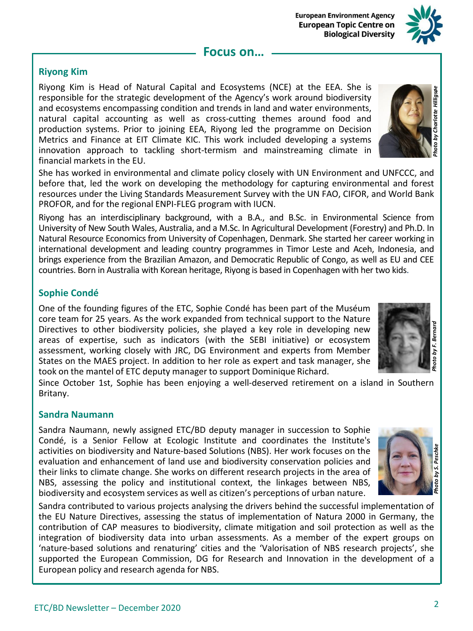ETC/BD Newsletter – December 2020

## **Riyong Kim**

Riyong Kim is Head of Natural Capital and Ecosystems (NCE) at the EEA. She is responsible for the strategic development of the Agency's work around biodiversity and ecosystems encompassing condition and trends in land and water environments, natural capital accounting as well as cross-cutting themes around food and production systems. Prior to joining EEA, Riyong led the programme on Decision Metrics and Finance at EIT Climate KIC. This work included developing a systems innovation approach to tackling short-termism and mainstreaming climate in financial markets in the EU.

She has worked in environmental and climate policy closely with UN Environment and UNFCCC, and before that, led the work on developing the methodology for capturing environmental and forest resources under the Living Standards Measurement Survey with the UN FAO, CIFOR, and World Bank PROFOR, and for the regional ENPI-FLEG program with IUCN.

Riyong has an interdisciplinary background, with a B.A., and B.Sc. in Environmental Science from University of New South Wales, Australia, and a M.Sc. In Agricultural Development (Forestry) and Ph.D. In Natural Resource Economics from University of Copenhagen, Denmark. She started her career working in international development and leading country programmes in Timor Leste and Aceh, Indonesia, and brings experience from the Brazilian Amazon, and Democratic Republic of Congo, as well as EU and CEE countries. Born in Australia with Korean heritage, Riyong is based in Copenhagen with her two kids.

## **Sophie Condé**

One of the founding figures of the ETC, Sophie Condé has been part of the Muséum core team for 25 years. As the work expanded from technical support to the Nature Directives to other biodiversity policies, she played a key role in developing new areas of expertise, such as indicators (with the SEBI initiative) or ecosystem assessment, working closely with JRC, DG Environment and experts from Member States on the MAES project. In addition to her role as expert and task manager, she took on the mantel of ETC deputy manager to support Dominique Richard.

Since October 1st, Sophie has been enjoying a well-deserved retirement on a island in Southern Britany.

### **Sandra Naumann**

Sandra Naumann, newly assigned ETC/BD deputy manager in succession to Sophie Condé, is a Senior Fellow at Ecologic Institute and coordinates the Institute's activities on biodiversity and Nature-based Solutions (NBS). Her work focuses on the evaluation and enhancement of land use and biodiversity conservation policies and their links to climate change. She works on different research projects in the area of NBS, assessing the policy and institutional context, the linkages between NBS, biodiversity and ecosystem services as well as citizen's perceptions of urban nature.

Sandra contributed to various projects analysing the drivers behind the successful implementation of the EU Nature Directives, assessing the status of implementation of Natura 2000 in Germany, the contribution of CAP measures to biodiversity, climate mitigation and soil protection as well as the integration of biodiversity data into urban assessments. As a member of the expert groups on 'nature-based solutions and renaturing' cities and the 'Valorisation of NBS research projects', she supported the European Commission, DG for Research and Innovation in the development of a European policy and research agenda for NBS.





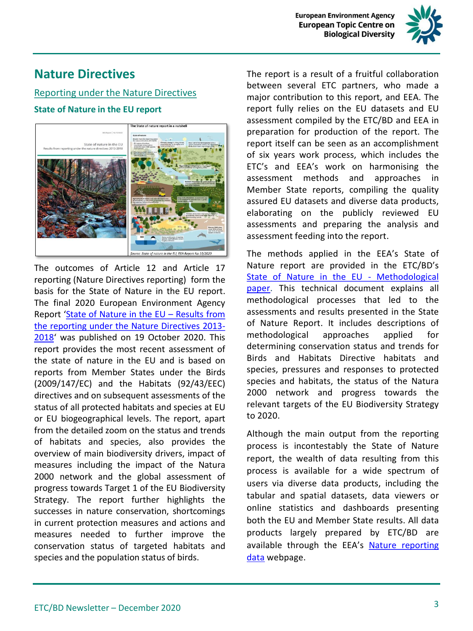

## **Nature Directives**

## Reporting under the Nature Directives

#### **State of Nature in the EU report**



The outcomes of Article 12 and Article 17 reporting (Nature Directives reporting) form the basis for the State of Nature in the EU report. The final 2020 European Environment Agency Report 'State of Nature in the EU – Results from the reporting under the Nature [Directives](https://www.eea.europa.eu/publications/state-of-nature-in-the-eu-2020) 2013- 2018' was published on 19 October 2020. This report provides the most recent assessment of the state of nature in the EU and is based on reports from Member States under the Birds (2009/147/EC) and the Habitats (92/43/EEC) directives and on subsequent assessments of the status of all protected habitats and species at EU or EU biogeographical levels. The report, apart from the detailed zoom on the status and trends of habitats and species, also provides the overview of main biodiversity drivers, impact of measures including the impact of the Natura 2000 network and the global assessment of progress towards Target 1 of the EU Biodiversity Strategy. The report further highlights the successes in nature conservation, shortcomings in current protection measures and actions and measures needed to further improve the conservation status of targeted habitats and species and the population status of birds.

The report is a result of a fruitful collaboration between several ETC partners, who made a major contribution to this report, and EEA. The report fully relies on the EU datasets and EU assessment compiled by the ETC/BD and EEA in preparation for production of the report. The report itself can be seen as an accomplishment of six years work process, which includes the ETC's and EEA's work on harmonising the assessment methods and approaches in Member State reports, compiling the quality assured EU datasets and diverse data products, elaborating on the publicly reviewed EU assessments and preparing the analysis and assessment feeding into the report.

The methods applied in the EEA's State of Nature report are provided in the ETC/BD's State of Nature in the EU - [Methodological](https://www.eionet.europa.eu/etcs/etc-bd/products/etc-bd-reports/etc-bd-technical-paper-2-2020-state-of-nature-in-the-eu-methodological-paper-methodologies-under-the-nature-directives-reporting-2013-2018-and-analysis-for-the-state-of-nature-2000) paper. This technical document explains all methodological processes that led to the assessments and results presented in the State of Nature Report. It includes descriptions of methodological approaches applied for determining conservation status and trends for Birds and Habitats Directive habitats and species, pressures and responses to protected species and habitats, the status of the Natura 2000 network and progress towards the relevant targets of the EU Biodiversity Strategy to 2020.

Although the main output from the reporting process is incontestably the State of Nature report, the wealth of data resulting from this process is available for a wide spectrum of users via diverse data products, including the tabular and spatial datasets, data viewers or online statistics and dashboards presenting both the EU and Member State results. All data products largely prepared by ETC/BD are available through the EEA's Nature reporting data [webpage.](https://www.eea.europa.eu/themes/biodiversity/state-of-nature-in-the-eu/explore-nature-reporting-data)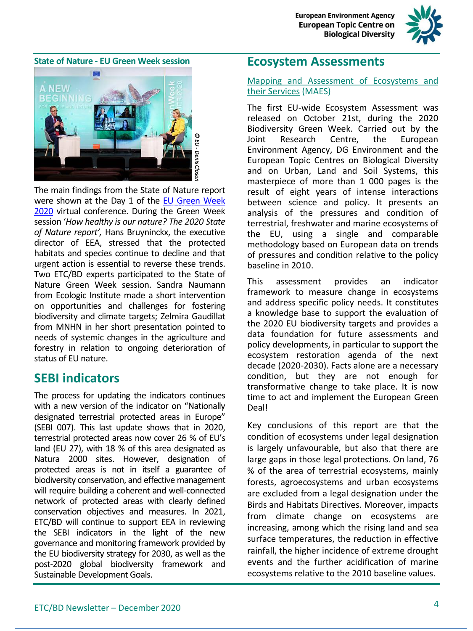

#### **State of Nature - EU Green Week session**



The main findings from the State of Nature report were shown at the Day 1 of the EU Green Week **2020** virtual [conference.](https://www.eugreenweek.eu/en) During the Green Week session '*How healthy is our nature? The 2020 State of Nature report',* Hans Bruyninckx, the executive director of EEA, stressed that the protected habitats and species continue to decline and that urgent action is essential to reverse these trends. Two ETC/BD experts participated to the State of Nature Green Week session. Sandra Naumann from Ecologic Institute made a short intervention on opportunities and challenges for fostering biodiversity and climate targets; Zelmira Gaudillat from MNHN in her short presentation pointed to needs of systemic changes in the agriculture and forestry in relation to ongoing deterioration of status of EU nature.

## **SEBI indicators**

The process for updating the indicators continues with a new version of the indicator on "Nationally designated terrestrial protected areas in Europe" (SEBI 007). This last update shows that in 2020, terrestrial protected areas now cover 26 % of EU's land (EU 27), with 18 % of this area designated as Natura 2000 sites. However, designation of protected areas is not in itself a guarantee of biodiversity conservation, and effective management will require building a coherent and well-connected network of protected areas with clearly defined conservation objectives and measures. In 2021, ETC/BD will continue to support EEA in reviewing the SEBI indicators in the light of the new governance and monitoring framework provided by the EU biodiversity strategy for 2030, as well as the post-2020 global biodiversity framework and Sustainable Development Goals.

## **Ecosystem Assessments**

#### Mapping and Assessment of Ecosystems and their Services (MAES)

The first EU-wide Ecosystem Assessment was released on October 21st, during the 2020 Biodiversity Green Week. Carried out by the Joint Research Centre, the European Environment Agency, DG Environment and the European Topic Centres on Biological Diversity and on Urban, Land and Soil Systems, this masterpiece of more than 1 000 pages is the result of eight years of intense interactions between science and policy. It presents an analysis of the pressures and condition of terrestrial, freshwater and marine ecosystems of the EU, using a single and comparable methodology based on European data on trends of pressures and condition relative to the policy baseline in 2010.

This assessment provides an indicator framework to measure change in ecosystems and address specific policy needs. It constitutes a knowledge base to support the evaluation of the 2020 EU biodiversity targets and provides a data foundation for future assessments and policy developments, in particular to support the ecosystem restoration agenda of the next decade (2020-2030). Facts alone are a necessary condition, but they are not enough for transformative change to take place. It is now time to act and implement the European Green Deal!

Key conclusions of this report are that the condition of ecosystems under legal designation is largely unfavourable, but also that there are large gaps in those legal protections. On land, 76 % of the area of terrestrial ecosystems, mainly forests, agroecosystems and urban ecosystems are excluded from a legal designation under the Birds and Habitats Directives. Moreover, impacts from climate change on ecosystems are increasing, among which the rising land and sea surface temperatures, the reduction in effective rainfall, the higher incidence of extreme drought events and the further acidification of marine ecosystems relative to the 2010 baseline values.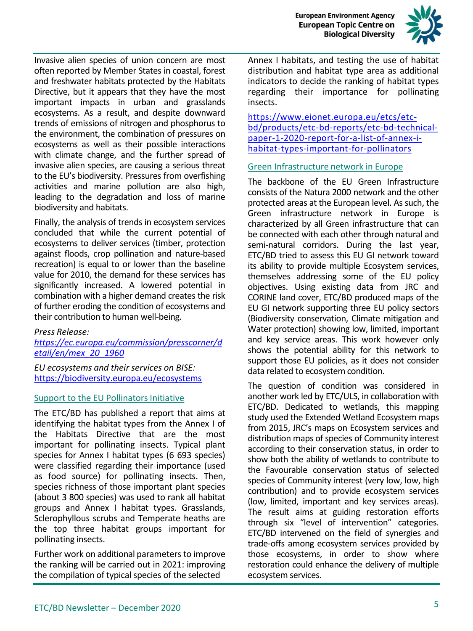

Invasive alien species of union concern are most often reported by Member States in coastal, forest and freshwater habitats protected by the Habitats Directive, but it appears that they have the most important impacts in urban and grasslands ecosystems. As a result, and despite downward trends of emissions of nitrogen and phosphorus to the environment, the combination of pressures on ecosystems as well as their possible interactions with climate change, and the further spread of invasive alien species, are causing a serious threat to the EU's biodiversity. Pressures from overfishing activities and marine pollution are also high, leading to the degradation and loss of marine biodiversity and habitats.

Finally, the analysis of trends in ecosystem services concluded that while the current potential of ecosystems to deliver services (timber, protection against floods, crop pollination and nature-based recreation) is equal to or lower than the baseline value for 2010, the demand for these services has significantly increased. A lowered potential in combination with a higher demand creates the risk of further eroding the condition of ecosystems and their contribution to human well-being.

#### *Press Release:*

*[https://ec.europa.eu/commission/presscorner/d](https://ec.europa.eu/commission/presscorner/detail/en/mex_20_1960) etail/en/mex\_20\_1960*

*EU ecosystems and their services on BISE:* <https://biodiversity.europa.eu/ecosystems>

#### Support to the EU Pollinators Initiative

The ETC/BD has published a report that aims at identifying the habitat types from the Annex I of the Habitats Directive that are the most important for pollinating insects. Typical plant species for Annex I habitat types (6 693 species) were classified regarding their importance (used as food source) for pollinating insects. Then, species richness of those important plant species (about 3 800 species) was used to rank all habitat groups and Annex I habitat types. Grasslands, Sclerophyllous scrubs and Temperate heaths are the top three habitat groups important for pollinating insects.

Further work on additional parameters to improve the ranking will be carried out in 2021: improving the compilation of typical species of the selected

Annex I habitats, and testing the use of habitat distribution and habitat type area as additional indicators to decide the ranking of habitat types regarding their importance for pollinating insects.

https://www.eionet.europa.eu/etcs/etc[bd/products/etc-bd-reports/etc-bd-technical](https://www.eionet.europa.eu/etcs/etc-bd/products/etc-bd-reports/etc-bd-technical-paper-1-2020-report-for-a-list-of-annex-i-habitat-types-important-for-pollinators)paper-1-2020-report-for-a-list-of-annex-ihabitat-types-important-for-pollinators

#### Green Infrastructure network in Europe

The backbone of the EU Green Infrastructure consists of the Natura 2000 network and the other protected areas at the European level. As such, the Green infrastructure network in Europe is characterized by all Green infrastructure that can be connected with each other through natural and semi-natural corridors. During the last year, ETC/BD tried to assess this EU GI network toward its ability to provide multiple Ecosystem services, themselves addressing some of the EU policy objectives. Using existing data from JRC and CORINE land cover, ETC/BD produced maps of the EU GI network supporting three EU policy sectors (Biodiversity conservation, Climate mitigation and Water protection) showing low, limited, important and key service areas. This work however only shows the potential ability for this network to support those EU policies, as it does not consider data related to ecosystem condition.

The question of condition was considered in another work led by ETC/ULS, in collaboration with ETC/BD. Dedicated to wetlands, this mapping study used the Extended Wetland Ecosystem maps from 2015, JRC's maps on Ecosystem services and distribution maps of species of Community interest according to their conservation status, in order to show both the ability of wetlands to contribute to the Favourable conservation status of selected species of Community interest (very low, low, high contribution) and to provide ecosystem services (low, limited, important and key services areas). The result aims at guiding restoration efforts through six "level of intervention" categories. ETC/BD intervened on the field of synergies and trade-offs among ecosystem services provided by those ecosystems, in order to show where restoration could enhance the delivery of multiple ecosystem services.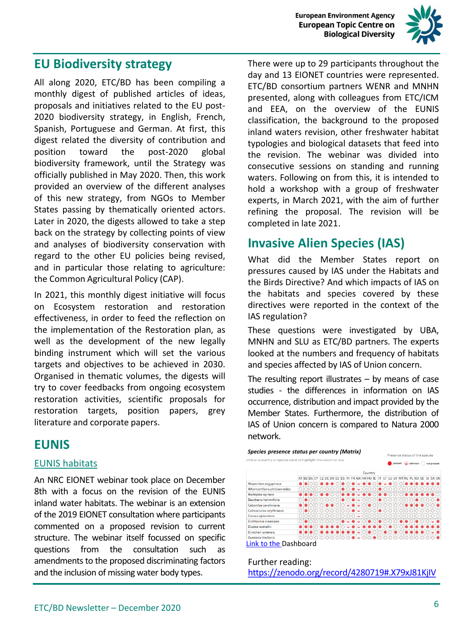

# **EU Biodiversity strategy**

All along 2020, ETC/BD has been compiling a monthly digest of published articles of ideas, proposals and initiatives related to the EU post-2020 biodiversity strategy, in English, French, Spanish, Portuguese and German. At first, this digest related the diversity of contribution and position toward the post-2020 global biodiversity framework, until the Strategy was officially published in May 2020. Then, this work provided an overview of the different analyses of this new strategy, from NGOs to Member States passing by thematically oriented actors. Later in 2020, the digests allowed to take a step back on the strategy by collecting points of view and analyses of biodiversity conservation with regard to the other EU policies being revised, and in particular those relating to agriculture: the Common Agricultural Policy (CAP).

In 2021, this monthly digest initiative will focus on Ecosystem restoration and restoration effectiveness, in order to feed the reflection on the implementation of the Restoration plan, as well as the development of the new legally binding instrument which will set the various targets and objectives to be achieved in 2030. Organised in thematic volumes, the digests will try to cover feedbacks from ongoing ecosystem restoration activities, scientific proposals for restoration targets, position papers, grey literature and corporate papers.

## **EUNIS**

## EUNIS habitats

An NRC EIONET webinar took place on December 8th with a focus on the revision of the EUNIS inland water habitats. The webinar is an extension of the 2019 EIONET consultation where participants commented on a proposed revision to current structure. The webinar itself focussed on specific questions from the consultation such as amendments to the proposed discriminating factors and the inclusion of missing water body types.

There were up to 29 participants throughout the day and 13 EIONET countries were represented. ETC/BD consortium partners WENR and MNHN presented, along with colleagues from ETC/ICM and EEA, on the overview of the EUNIS classification, the background to the proposed inland waters revision, other freshwater habitat typologies and biological datasets that feed into the revision. The webinar was divided into consecutive sessions on standing and running waters. Following on from this, it is intended to hold a workshop with a group of freshwater experts, in March 2021, with the aim of further refining the proposal. The revision will be completed in late 2021.

# **Invasive Alien Species (IAS)**

What did the Member States report on pressures caused by IAS under the Habitats and the Birds Directive? And which impacts of IAS on the habitats and species covered by these directives were reported in the context of the IAS regulation?

These questions were investigated by UBA, MNHN and SLU as ETC/BD partners. The experts looked at the numbers and frequency of habitats and species affected by IAS of Union concern.

The resulting report illustrates – by means of case studies - the differences in information on IAS occurrence, distribution and impact provided by the Member States. Furthermore, the distribution of IAS of Union concern is compared to Natura 2000 network.



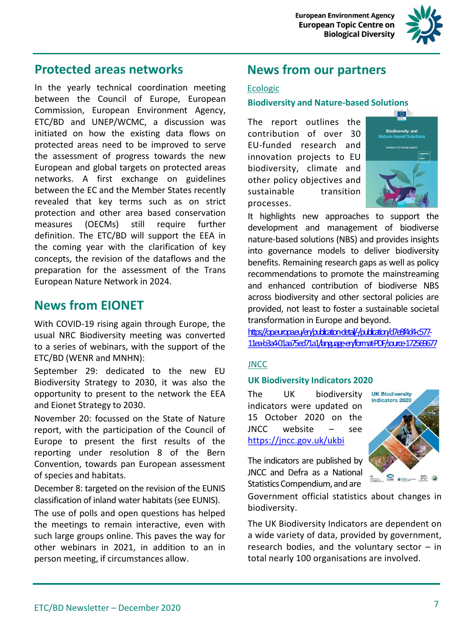

# **Protected areas networks**

In the yearly technical coordination meeting between the Council of Europe, European Commission, European Environment Agency, ETC/BD and UNEP/WCMC, a discussion was initiated on how the existing data flows on protected areas need to be improved to serve the assessment of progress towards the new European and global targets on protected areas networks. A first exchange on guidelines between the EC and the Member States recently revealed that key terms such as on strict protection and other area based conservation measures (OECMs) still require further definition. The ETC/BD will support the EEA in the coming year with the clarification of key concepts, the revision of the dataflows and the preparation for the assessment of the Trans European Nature Network in 2024.

# **News from EIONET**

With COVID-19 rising again through Europe, the usual NRC Biodiversity meeting was converted to a series of webinars, with the support of the ETC/BD (WENR and MNHN):

September 29: dedicated to the new EU Biodiversity Strategy to 2030, it was also the opportunity to present to the network the EEA and Eionet Strategy to 2030.

November 20: focussed on the State of Nature report, with the participation of the Council of Europe to present the first results of the reporting under resolution 8 of the Bern Convention, towards pan European assessment of species and habitats.

December 8: targeted on the revision of the EUNIS classification of inland water habitats(see EUNIS).

The use of polls and open questions has helped the meetings to remain interactive, even with such large groups online. This paves the way for other webinars in 2021, in addition to an in person meeting, if circumstances allow.

# **News from our partners**

## Ecologic

## **Biodiversity and Nature-based Solutions**

The report outlines the contribution of over 30 EU-funded research and innovation projects to EU biodiversity, climate and other policy objectives and sustainable transition processes.



It highlights new approaches to support the development and management of biodiverse nature-based solutions (NBS) and provides insights into governance models to deliver biodiversity benefits. Remaining research gaps as well as policy recommendations to promote the mainstreaming and enhanced contribution of biodiverse NBS across biodiversity and other sectoral policies are provided, not least to foster a sustainable societal transformation in Europe and beyond.

[https://op.europa.eu/en/publication-detail/-/publication/d7e8f4d4-c577-](https://op.europa.eu/en/publication-detail/-/publication/d7e8f4d4-c577-11ea-b3a4-01aa75ed71a1/language-en/format-PDF/source-172569677) 11ea-b3a4-01aa75ed71a1/language-en/format-PDF/source-172569677

### **JNCC**

### **UK Biodiversity Indicators 2020**

The UK biodiversity indicators were updated on 15 October 2020 on the JNCC website – see [https://jncc.gov.uk/ukbi](https://jncc.gov.uk/our-work/uk-biodiversity-indicators)

The indicators are published by JNCC and Defra as a National Statistics Compendium, and are



Government official statistics about changes in biodiversity.

The UK Biodiversity Indicators are dependent on a wide variety of data, provided by government, research bodies, and the voluntary sector  $-$  in total nearly 100 organisations are involved.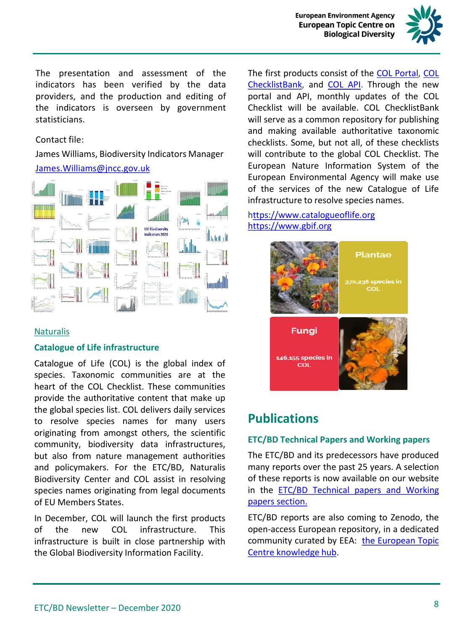

The presentation and assessment of the indicators has been verified by the data providers, and the production and editing of the indicators is overseen by government statisticians.

#### Contact file:

James Williams, Biodiversity Indicators Manager [James.Williams@jncc.gov.uk](mailto:James.Williams@jncc.gov.uk)



### **Naturalis**

#### **Catalogue of Life infrastructure**

Catalogue of Life (COL) is the global index of species. Taxonomic communities are at the heart of the COL Checklist. These communities provide the authoritative content that make up the global species list. COL delivers daily services to resolve species names for many users originating from amongst others, the scientific community, biodiversity data infrastructures, but also from nature management authorities and policymakers. For the ETC/BD, Naturalis Biodiversity Center and COL assist in resolving species names originating from legal documents of EU Members States.

In December, COL will launch the first products of the new COL infrastructure. This infrastructure is built in close partnership with the Global Biodiversity Information Facility.

The first products consist of the COL [Portal,](http://catalogueoflife.org/) COL [ChecklistBank,](http://data.catalogueoflife.org/) and [COL](http://api.catalogueoflife.org/) API. Through the new portal and API, monthly updates of the COL Checklist will be available. COL ChecklistBank will serve as a common repository for publishing and making available authoritative taxonomic checklists. Some, but not all, of these checklists will contribute to the global COL Checklist. The European Nature Information System of the European Environmental Agency will make use of the services of the new Catalogue of Life infrastructure to resolve species names.

### h[ttps://www.catalogueoflife.org](https://www.catalogueoflife.org/) [https://www.gbif.org](https://www.gbif.org/)



# **Publications**

### **ETC/BD Technical Papers and Working papers**

The ETC/BD and its predecessors have produced many reports over the past 25 years. A selection of these reports is now available on our website in the ETC/BD [Technical](https://www.eionet.europa.eu/etcs/etc-bd/products/bd-reports) papers and Working papers section.

ETC/BD reports are also coming to Zenodo, the open-access European repository, in a dedicated [community](https://zenodo.org/communities/eea-etc/search?page=1&size=20) curated by EEA: the European Topic Centre knowledge hub.